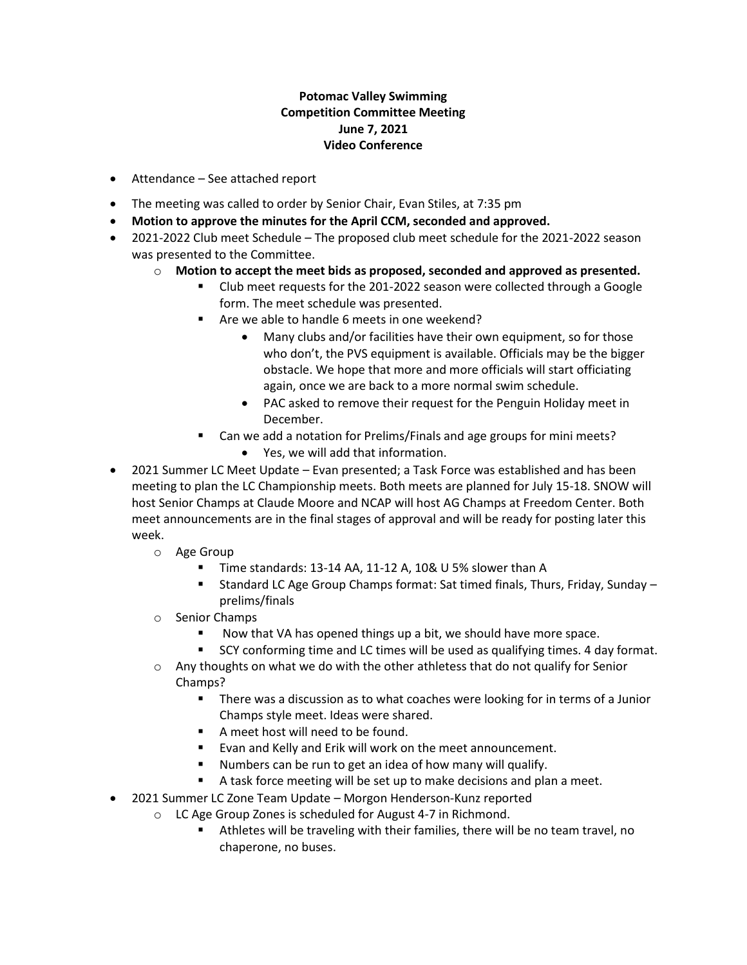## **Potomac Valley Swimming Competition Committee Meeting June 7, 2021 Video Conference**

- Attendance See attached report
- The meeting was called to order by Senior Chair, Evan Stiles, at 7:35 pm
- **Motion to approve the minutes for the April CCM, seconded and approved.**
- 2021-2022 Club meet Schedule The proposed club meet schedule for the 2021-2022 season was presented to the Committee.
	- o **Motion to accept the meet bids as proposed, seconded and approved as presented.** 
		- Club meet requests for the 201-2022 season were collected through a Google form. The meet schedule was presented.
		- Are we able to handle 6 meets in one weekend?
			- Many clubs and/or facilities have their own equipment, so for those who don't, the PVS equipment is available. Officials may be the bigger obstacle. We hope that more and more officials will start officiating again, once we are back to a more normal swim schedule.
			- PAC asked to remove their request for the Penguin Holiday meet in December.
		- Can we add a notation for Prelims/Finals and age groups for mini meets?
			- Yes, we will add that information.
- 2021 Summer LC Meet Update Evan presented; a Task Force was established and has been meeting to plan the LC Championship meets. Both meets are planned for July 15-18. SNOW will host Senior Champs at Claude Moore and NCAP will host AG Champs at Freedom Center. Both meet announcements are in the final stages of approval and will be ready for posting later this week.
	- o Age Group
		- Time standards: 13-14 AA, 11-12 A, 10& U 5% slower than A
		- Standard LC Age Group Champs format: Sat timed finals, Thurs, Friday, Sunday prelims/finals
	- o Senior Champs
		- Now that VA has opened things up a bit, we should have more space.
		- SCY conforming time and LC times will be used as qualifying times. 4 day format.
	- $\circ$  Any thoughts on what we do with the other athletess that do not qualify for Senior Champs?
		- There was a discussion as to what coaches were looking for in terms of a Junior Champs style meet. Ideas were shared.
		- A meet host will need to be found.
		- Evan and Kelly and Erik will work on the meet announcement.
		- Numbers can be run to get an idea of how many will qualify.
		- A task force meeting will be set up to make decisions and plan a meet.
- 2021 Summer LC Zone Team Update Morgon Henderson-Kunz reported
	- o LC Age Group Zones is scheduled for August 4-7 in Richmond.
		- Athletes will be traveling with their families, there will be no team travel, no chaperone, no buses.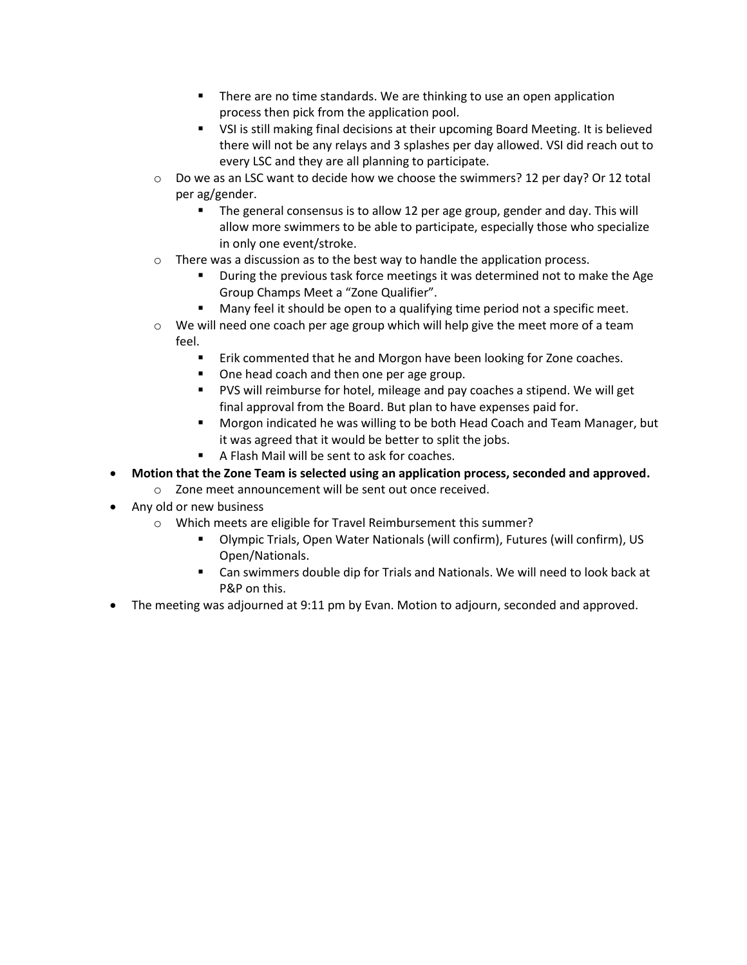- There are no time standards. We are thinking to use an open application process then pick from the application pool.
- VSI is still making final decisions at their upcoming Board Meeting. It is believed there will not be any relays and 3 splashes per day allowed. VSI did reach out to every LSC and they are all planning to participate.
- $\circ$  Do we as an LSC want to decide how we choose the swimmers? 12 per day? Or 12 total per ag/gender.
	- The general consensus is to allow 12 per age group, gender and day. This will allow more swimmers to be able to participate, especially those who specialize in only one event/stroke.
- $\circ$  There was a discussion as to the best way to handle the application process.
	- During the previous task force meetings it was determined not to make the Age Group Champs Meet a "Zone Qualifier".
	- Many feel it should be open to a qualifying time period not a specific meet.
- $\circ$  We will need one coach per age group which will help give the meet more of a team feel.
	- Erik commented that he and Morgon have been looking for Zone coaches.
	- One head coach and then one per age group.
	- PVS will reimburse for hotel, mileage and pay coaches a stipend. We will get final approval from the Board. But plan to have expenses paid for.
	- Morgon indicated he was willing to be both Head Coach and Team Manager, but it was agreed that it would be better to split the jobs.
	- A Flash Mail will be sent to ask for coaches.
- **Motion that the Zone Team is selected using an application process, seconded and approved.**
	- o Zone meet announcement will be sent out once received.
- Any old or new business
	- o Which meets are eligible for Travel Reimbursement this summer?
		- Olympic Trials, Open Water Nationals (will confirm), Futures (will confirm), US Open/Nationals.
		- Can swimmers double dip for Trials and Nationals. We will need to look back at P&P on this.
- The meeting was adjourned at 9:11 pm by Evan. Motion to adjourn, seconded and approved.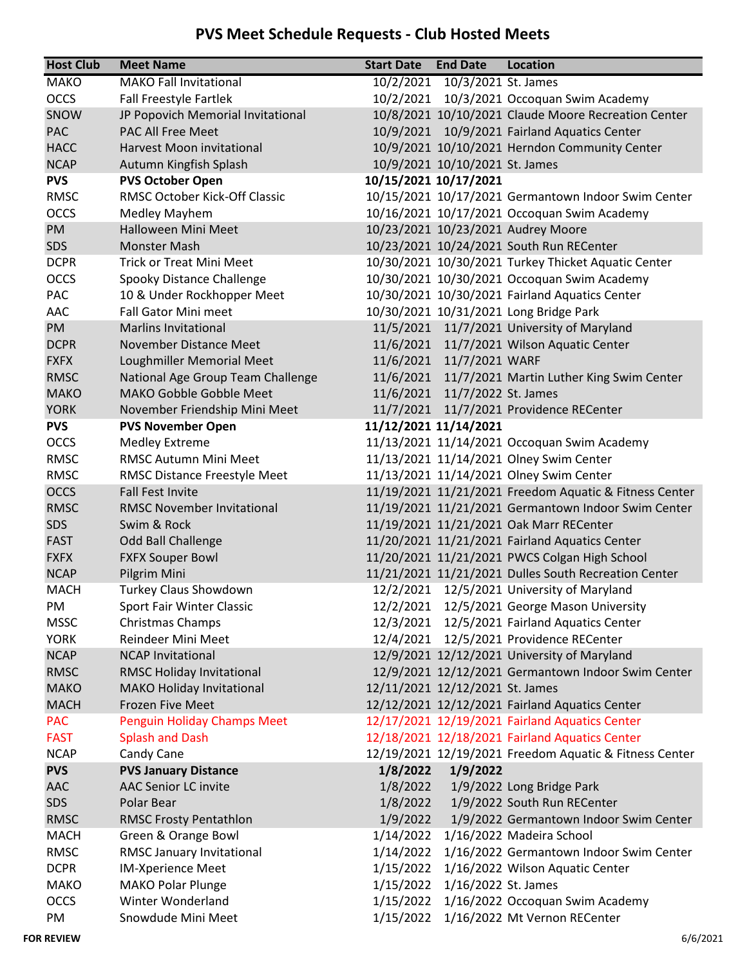## **PVS Meet Schedule Requests - Club Hosted Meets**

| <b>Host Club</b> | <b>Meet Name</b>                  | <b>Start Date</b> | <b>End Date</b>                 | Location                                               |
|------------------|-----------------------------------|-------------------|---------------------------------|--------------------------------------------------------|
| <b>MAKO</b>      | <b>MAKO Fall Invitational</b>     |                   | 10/2/2021 10/3/2021 St. James   |                                                        |
| <b>OCCS</b>      | <b>Fall Freestyle Fartlek</b>     |                   |                                 | 10/2/2021 10/3/2021 Occoquan Swim Academy              |
| SNOW             | JP Popovich Memorial Invitational |                   |                                 | 10/8/2021 10/10/2021 Claude Moore Recreation Center    |
| <b>PAC</b>       | <b>PAC All Free Meet</b>          |                   |                                 | 10/9/2021 10/9/2021 Fairland Aquatics Center           |
| <b>HACC</b>      | Harvest Moon invitational         |                   |                                 | 10/9/2021 10/10/2021 Herndon Community Center          |
| <b>NCAP</b>      | Autumn Kingfish Splash            |                   | 10/9/2021 10/10/2021 St. James  |                                                        |
| <b>PVS</b>       | <b>PVS October Open</b>           |                   | 10/15/2021 10/17/2021           |                                                        |
| <b>RMSC</b>      | RMSC October Kick-Off Classic     |                   |                                 | 10/15/2021 10/17/2021 Germantown Indoor Swim Center    |
| <b>OCCS</b>      | Medley Mayhem                     |                   |                                 | 10/16/2021 10/17/2021 Occoquan Swim Academy            |
| PM               | <b>Halloween Mini Meet</b>        |                   |                                 | 10/23/2021 10/23/2021 Audrey Moore                     |
| SDS              | <b>Monster Mash</b>               |                   |                                 | 10/23/2021 10/24/2021 South Run RECenter               |
| <b>DCPR</b>      | <b>Trick or Treat Mini Meet</b>   |                   |                                 | 10/30/2021 10/30/2021 Turkey Thicket Aquatic Center    |
| <b>OCCS</b>      | Spooky Distance Challenge         |                   |                                 | 10/30/2021 10/30/2021 Occoquan Swim Academy            |
| PAC              | 10 & Under Rockhopper Meet        |                   |                                 | 10/30/2021 10/30/2021 Fairland Aquatics Center         |
| AAC              | <b>Fall Gator Mini meet</b>       |                   |                                 | 10/30/2021 10/31/2021 Long Bridge Park                 |
| PM               | <b>Marlins Invitational</b>       |                   |                                 | 11/5/2021 11/7/2021 University of Maryland             |
| <b>DCPR</b>      | November Distance Meet            |                   |                                 | 11/6/2021  11/7/2021  Wilson Aquatic Center            |
| <b>FXFX</b>      | Loughmiller Memorial Meet         |                   | 11/6/2021 11/7/2021 WARF        |                                                        |
| <b>RMSC</b>      | National Age Group Team Challenge |                   |                                 | 11/6/2021 11/7/2021 Martin Luther King Swim Center     |
| <b>MAKO</b>      | MAKO Gobble Gobble Meet           |                   | 11/6/2021 11/7/2022 St. James   |                                                        |
| <b>YORK</b>      | November Friendship Mini Meet     |                   |                                 | 11/7/2021 11/7/2021 Providence RECenter                |
| <b>PVS</b>       | <b>PVS November Open</b>          |                   | 11/12/2021 11/14/2021           |                                                        |
| <b>OCCS</b>      | <b>Medley Extreme</b>             |                   |                                 | 11/13/2021 11/14/2021 Occoquan Swim Academy            |
| <b>RMSC</b>      | RMSC Autumn Mini Meet             |                   |                                 | 11/13/2021 11/14/2021 Olney Swim Center                |
| <b>RMSC</b>      | RMSC Distance Freestyle Meet      |                   |                                 | 11/13/2021 11/14/2021 Olney Swim Center                |
| <b>OCCS</b>      | <b>Fall Fest Invite</b>           |                   |                                 | 11/19/2021 11/21/2021 Freedom Aquatic & Fitness Center |
| <b>RMSC</b>      | <b>RMSC November Invitational</b> |                   |                                 | 11/19/2021 11/21/2021 Germantown Indoor Swim Center    |
| SDS              | Swim & Rock                       |                   |                                 | 11/19/2021 11/21/2021 Oak Marr RECenter                |
| <b>FAST</b>      | Odd Ball Challenge                |                   |                                 | 11/20/2021 11/21/2021 Fairland Aquatics Center         |
|                  |                                   |                   |                                 | 11/20/2021 11/21/2021 PWCS Colgan High School          |
| <b>FXFX</b>      | <b>FXFX Souper Bowl</b>           |                   |                                 | 11/21/2021 11/21/2021 Dulles South Recreation Center   |
| <b>NCAP</b>      | Pilgrim Mini                      |                   |                                 |                                                        |
| <b>MACH</b>      | Turkey Claus Showdown             |                   |                                 | 12/2/2021 12/5/2021 University of Maryland             |
| PM               | <b>Sport Fair Winter Classic</b>  |                   |                                 | 12/2/2021 12/5/2021 George Mason University            |
| <b>MSSC</b>      | Christmas Champs                  |                   |                                 | 12/3/2021 12/5/2021 Fairland Aquatics Center           |
| <b>YORK</b>      | Reindeer Mini Meet                |                   |                                 | 12/4/2021  12/5/2021  Providence RECenter              |
| <b>NCAP</b>      | <b>NCAP Invitational</b>          |                   |                                 | 12/9/2021 12/12/2021 University of Maryland            |
| <b>RMSC</b>      | RMSC Holiday Invitational         |                   |                                 | 12/9/2021 12/12/2021 Germantown Indoor Swim Center     |
| <b>MAKO</b>      | MAKO Holiday Invitational         |                   | 12/11/2021 12/12/2021 St. James |                                                        |
| <b>MACH</b>      | Frozen Five Meet                  |                   |                                 | 12/12/2021 12/12/2021 Fairland Aquatics Center         |
| <b>PAC</b>       | Penguin Holiday Champs Meet       |                   |                                 | 12/17/2021 12/19/2021 Fairland Aquatics Center         |
| <b>FAST</b>      | <b>Splash and Dash</b>            |                   |                                 | 12/18/2021 12/18/2021 Fairland Aquatics Center         |
| <b>NCAP</b>      | Candy Cane                        |                   |                                 | 12/19/2021 12/19/2021 Freedom Aquatic & Fitness Center |
| <b>PVS</b>       | <b>PVS January Distance</b>       | 1/8/2022          | 1/9/2022                        |                                                        |
| AAC              | <b>AAC Senior LC invite</b>       | 1/8/2022          |                                 | 1/9/2022 Long Bridge Park                              |
| SDS              | Polar Bear                        | 1/8/2022          |                                 | 1/9/2022 South Run RECenter                            |
| <b>RMSC</b>      | <b>RMSC Frosty Pentathlon</b>     | 1/9/2022          |                                 | 1/9/2022 Germantown Indoor Swim Center                 |
| <b>MACH</b>      | Green & Orange Bowl               | 1/14/2022         |                                 | 1/16/2022 Madeira School                               |
| RMSC             | RMSC January Invitational         | 1/14/2022         |                                 | 1/16/2022 Germantown Indoor Swim Center                |
| <b>DCPR</b>      | IM-Xperience Meet                 | 1/15/2022         |                                 | 1/16/2022 Wilson Aquatic Center                        |
| <b>MAKO</b>      | <b>MAKO Polar Plunge</b>          | 1/15/2022         | 1/16/2022 St. James             |                                                        |
| <b>OCCS</b>      | Winter Wonderland                 | 1/15/2022         |                                 | 1/16/2022 Occoquan Swim Academy                        |
| PM               | Snowdude Mini Meet                | 1/15/2022         |                                 | 1/16/2022 Mt Vernon RECenter                           |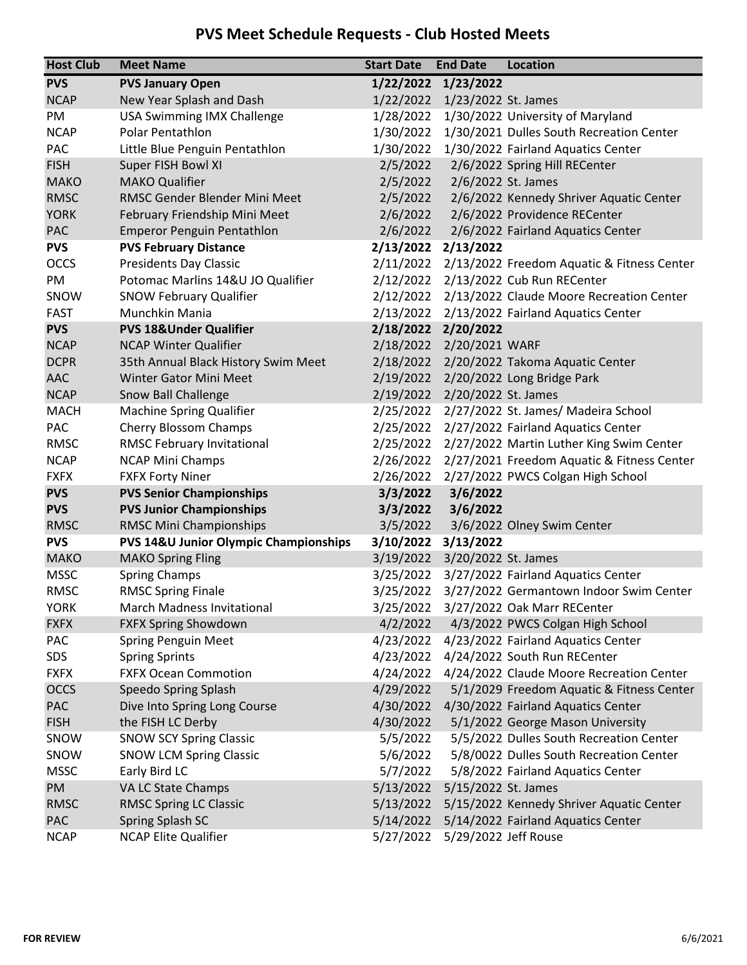## **PVS Meet Schedule Requests - Club Hosted Meets**

| <b>PVS</b><br>1/22/2022<br>1/23/2022<br><b>PVS January Open</b><br><b>NCAP</b><br>1/22/2022<br>New Year Splash and Dash<br>1/23/2022 St. James<br>PM<br><b>USA Swimming IMX Challenge</b><br>1/28/2022<br>1/30/2022 University of Maryland<br><b>NCAP</b><br>Polar Pentathlon<br>1/30/2022<br>1/30/2021 Dulles South Recreation Center<br>PAC<br>Little Blue Penguin Pentathlon<br>1/30/2022<br>1/30/2022 Fairland Aquatics Center<br>2/5/2022<br><b>FISH</b><br>Super FISH Bowl XI<br>2/6/2022 Spring Hill RECenter<br>2/5/2022<br><b>MAKO</b><br><b>MAKO Qualifier</b><br>2/6/2022 St. James<br><b>RMSC</b><br>RMSC Gender Blender Mini Meet<br>2/5/2022<br>2/6/2022 Kennedy Shriver Aquatic Center<br><b>YORK</b><br>February Friendship Mini Meet<br>2/6/2022<br>2/6/2022 Providence RECenter<br>2/6/2022<br>PAC<br>2/6/2022 Fairland Aquatics Center<br><b>Emperor Penguin Pentathlon</b><br>2/13/2022<br>2/13/2022<br><b>PVS</b><br><b>PVS February Distance</b><br><b>OCCS</b><br><b>Presidents Day Classic</b><br>2/11/2022<br>2/13/2022 Freedom Aquatic & Fitness Center<br>Potomac Marlins 14&U JO Qualifier<br>2/12/2022<br>PM<br>2/13/2022 Cub Run RECenter<br>2/12/2022<br>2/13/2022 Claude Moore Recreation Center<br>SNOW<br><b>SNOW February Qualifier</b><br><b>FAST</b><br>2/13/2022<br>Munchkin Mania<br>2/13/2022 Fairland Aquatics Center<br><b>PVS</b><br><b>PVS 18&amp;Under Qualifier</b><br>2/18/2022<br>2/20/2022<br><b>NCAP</b><br><b>NCAP Winter Qualifier</b><br>2/18/2022 2/20/2021 WARF<br><b>DCPR</b><br>35th Annual Black History Swim Meet<br>2/18/2022<br>2/20/2022 Takoma Aquatic Center<br><b>AAC</b><br><b>Winter Gator Mini Meet</b><br>2/19/2022<br>2/20/2022 Long Bridge Park<br><b>NCAP</b><br>2/19/2022<br>2/20/2022 St. James<br>Snow Ball Challenge<br><b>MACH</b><br><b>Machine Spring Qualifier</b><br>2/25/2022<br>2/27/2022 St. James/ Madeira School<br>PAC<br><b>Cherry Blossom Champs</b><br>2/25/2022 2/27/2022 Fairland Aquatics Center<br><b>RMSC</b><br>RMSC February Invitational<br>2/25/2022<br>2/27/2022 Martin Luther King Swim Center<br><b>NCAP</b><br><b>NCAP Mini Champs</b><br>2/26/2022<br>2/27/2021 Freedom Aquatic & Fitness Center<br><b>FXFX Forty Niner</b><br>2/26/2022<br>2/27/2022 PWCS Colgan High School<br><b>FXFX</b><br><b>PVS</b><br><b>PVS Senior Championships</b><br>3/3/2022<br>3/6/2022<br><b>PVS Junior Championships</b><br>3/3/2022<br>3/6/2022<br><b>PVS</b><br><b>RMSC</b><br>RMSC Mini Championships<br>3/5/2022<br>3/6/2022 Olney Swim Center<br><b>PVS</b><br>PVS 14&U Junior Olympic Championships<br>3/10/2022<br>3/13/2022<br>3/19/2022<br><b>MAKO</b><br><b>MAKO Spring Fling</b><br>3/20/2022 St. James<br><b>MSSC</b><br><b>Spring Champs</b><br>3/25/2022<br>3/27/2022 Fairland Aquatics Center<br>3/25/2022<br><b>RMSC</b><br><b>RMSC Spring Finale</b><br>3/27/2022 Germantown Indoor Swim Center<br><b>YORK</b><br>3/25/2022<br>3/27/2022 Oak Marr RECenter<br>March Madness Invitational<br>4/2/2022<br><b>FXFX</b><br><b>FXFX Spring Showdown</b><br>4/3/2022 PWCS Colgan High School<br>4/23/2022<br>4/23/2022 Fairland Aquatics Center<br>PAC<br>Spring Penguin Meet<br>SDS<br>4/23/2022<br>4/24/2022 South Run RECenter<br><b>Spring Sprints</b><br><b>FXFX Ocean Commotion</b><br>4/24/2022<br>4/24/2022 Claude Moore Recreation Center<br><b>FXFX</b><br><b>OCCS</b><br>Speedo Spring Splash<br>4/29/2022<br>5/1/2029 Freedom Aquatic & Fitness Center<br>PAC<br>4/30/2022<br>4/30/2022 Fairland Aquatics Center<br>Dive Into Spring Long Course<br>4/30/2022<br><b>FISH</b><br>the FISH LC Derby<br>5/1/2022 George Mason University<br>5/5/2022 Dulles South Recreation Center<br>SNOW<br><b>SNOW SCY Spring Classic</b><br>5/5/2022<br>5/6/2022<br>5/8/0022 Dulles South Recreation Center<br>SNOW<br><b>SNOW LCM Spring Classic</b><br><b>MSSC</b><br>Early Bird LC<br>5/7/2022<br>5/8/2022 Fairland Aquatics Center<br>5/13/2022<br><b>PM</b><br>VA LC State Champs<br>5/15/2022 St. James<br>5/13/2022<br>5/15/2022 Kennedy Shriver Aquatic Center<br><b>RMSC</b><br><b>RMSC Spring LC Classic</b><br><b>PAC</b><br>Spring Splash SC<br>5/14/2022<br>5/14/2022 Fairland Aquatics Center | <b>Host Club</b> | <b>Meet Name</b>            | <b>Start Date</b> | <b>End Date</b> | Location |
|--------------------------------------------------------------------------------------------------------------------------------------------------------------------------------------------------------------------------------------------------------------------------------------------------------------------------------------------------------------------------------------------------------------------------------------------------------------------------------------------------------------------------------------------------------------------------------------------------------------------------------------------------------------------------------------------------------------------------------------------------------------------------------------------------------------------------------------------------------------------------------------------------------------------------------------------------------------------------------------------------------------------------------------------------------------------------------------------------------------------------------------------------------------------------------------------------------------------------------------------------------------------------------------------------------------------------------------------------------------------------------------------------------------------------------------------------------------------------------------------------------------------------------------------------------------------------------------------------------------------------------------------------------------------------------------------------------------------------------------------------------------------------------------------------------------------------------------------------------------------------------------------------------------------------------------------------------------------------------------------------------------------------------------------------------------------------------------------------------------------------------------------------------------------------------------------------------------------------------------------------------------------------------------------------------------------------------------------------------------------------------------------------------------------------------------------------------------------------------------------------------------------------------------------------------------------------------------------------------------------------------------------------------------------------------------------------------------------------------------------------------------------------------------------------------------------------------------------------------------------------------------------------------------------------------------------------------------------------------------------------------------------------------------------------------------------------------------------------------------------------------------------------------------------------------------------------------------------------------------------------------------------------------------------------------------------------------------------------------------------------------------------------------------------------------------------------------------------------------------------------------------------------------------------------------------------------------------------------------------------------------------------------------------------------------------------------------------------------------------------------------------------------------------------------------------------------------------------------------------------------------------------------------------------------------------------------------------------------------------------------------------------------------------------------------------------------------------------------------------------------------------------------------------------------------------------------------------|------------------|-----------------------------|-------------------|-----------------|----------|
|                                                                                                                                                                                                                                                                                                                                                                                                                                                                                                                                                                                                                                                                                                                                                                                                                                                                                                                                                                                                                                                                                                                                                                                                                                                                                                                                                                                                                                                                                                                                                                                                                                                                                                                                                                                                                                                                                                                                                                                                                                                                                                                                                                                                                                                                                                                                                                                                                                                                                                                                                                                                                                                                                                                                                                                                                                                                                                                                                                                                                                                                                                                                                                                                                                                                                                                                                                                                                                                                                                                                                                                                                                                                                                                                                                                                                                                                                                                                                                                                                                                                                                                                                                                                              |                  |                             |                   |                 |          |
|                                                                                                                                                                                                                                                                                                                                                                                                                                                                                                                                                                                                                                                                                                                                                                                                                                                                                                                                                                                                                                                                                                                                                                                                                                                                                                                                                                                                                                                                                                                                                                                                                                                                                                                                                                                                                                                                                                                                                                                                                                                                                                                                                                                                                                                                                                                                                                                                                                                                                                                                                                                                                                                                                                                                                                                                                                                                                                                                                                                                                                                                                                                                                                                                                                                                                                                                                                                                                                                                                                                                                                                                                                                                                                                                                                                                                                                                                                                                                                                                                                                                                                                                                                                                              |                  |                             |                   |                 |          |
|                                                                                                                                                                                                                                                                                                                                                                                                                                                                                                                                                                                                                                                                                                                                                                                                                                                                                                                                                                                                                                                                                                                                                                                                                                                                                                                                                                                                                                                                                                                                                                                                                                                                                                                                                                                                                                                                                                                                                                                                                                                                                                                                                                                                                                                                                                                                                                                                                                                                                                                                                                                                                                                                                                                                                                                                                                                                                                                                                                                                                                                                                                                                                                                                                                                                                                                                                                                                                                                                                                                                                                                                                                                                                                                                                                                                                                                                                                                                                                                                                                                                                                                                                                                                              |                  |                             |                   |                 |          |
|                                                                                                                                                                                                                                                                                                                                                                                                                                                                                                                                                                                                                                                                                                                                                                                                                                                                                                                                                                                                                                                                                                                                                                                                                                                                                                                                                                                                                                                                                                                                                                                                                                                                                                                                                                                                                                                                                                                                                                                                                                                                                                                                                                                                                                                                                                                                                                                                                                                                                                                                                                                                                                                                                                                                                                                                                                                                                                                                                                                                                                                                                                                                                                                                                                                                                                                                                                                                                                                                                                                                                                                                                                                                                                                                                                                                                                                                                                                                                                                                                                                                                                                                                                                                              |                  |                             |                   |                 |          |
|                                                                                                                                                                                                                                                                                                                                                                                                                                                                                                                                                                                                                                                                                                                                                                                                                                                                                                                                                                                                                                                                                                                                                                                                                                                                                                                                                                                                                                                                                                                                                                                                                                                                                                                                                                                                                                                                                                                                                                                                                                                                                                                                                                                                                                                                                                                                                                                                                                                                                                                                                                                                                                                                                                                                                                                                                                                                                                                                                                                                                                                                                                                                                                                                                                                                                                                                                                                                                                                                                                                                                                                                                                                                                                                                                                                                                                                                                                                                                                                                                                                                                                                                                                                                              |                  |                             |                   |                 |          |
|                                                                                                                                                                                                                                                                                                                                                                                                                                                                                                                                                                                                                                                                                                                                                                                                                                                                                                                                                                                                                                                                                                                                                                                                                                                                                                                                                                                                                                                                                                                                                                                                                                                                                                                                                                                                                                                                                                                                                                                                                                                                                                                                                                                                                                                                                                                                                                                                                                                                                                                                                                                                                                                                                                                                                                                                                                                                                                                                                                                                                                                                                                                                                                                                                                                                                                                                                                                                                                                                                                                                                                                                                                                                                                                                                                                                                                                                                                                                                                                                                                                                                                                                                                                                              |                  |                             |                   |                 |          |
|                                                                                                                                                                                                                                                                                                                                                                                                                                                                                                                                                                                                                                                                                                                                                                                                                                                                                                                                                                                                                                                                                                                                                                                                                                                                                                                                                                                                                                                                                                                                                                                                                                                                                                                                                                                                                                                                                                                                                                                                                                                                                                                                                                                                                                                                                                                                                                                                                                                                                                                                                                                                                                                                                                                                                                                                                                                                                                                                                                                                                                                                                                                                                                                                                                                                                                                                                                                                                                                                                                                                                                                                                                                                                                                                                                                                                                                                                                                                                                                                                                                                                                                                                                                                              |                  |                             |                   |                 |          |
|                                                                                                                                                                                                                                                                                                                                                                                                                                                                                                                                                                                                                                                                                                                                                                                                                                                                                                                                                                                                                                                                                                                                                                                                                                                                                                                                                                                                                                                                                                                                                                                                                                                                                                                                                                                                                                                                                                                                                                                                                                                                                                                                                                                                                                                                                                                                                                                                                                                                                                                                                                                                                                                                                                                                                                                                                                                                                                                                                                                                                                                                                                                                                                                                                                                                                                                                                                                                                                                                                                                                                                                                                                                                                                                                                                                                                                                                                                                                                                                                                                                                                                                                                                                                              |                  |                             |                   |                 |          |
|                                                                                                                                                                                                                                                                                                                                                                                                                                                                                                                                                                                                                                                                                                                                                                                                                                                                                                                                                                                                                                                                                                                                                                                                                                                                                                                                                                                                                                                                                                                                                                                                                                                                                                                                                                                                                                                                                                                                                                                                                                                                                                                                                                                                                                                                                                                                                                                                                                                                                                                                                                                                                                                                                                                                                                                                                                                                                                                                                                                                                                                                                                                                                                                                                                                                                                                                                                                                                                                                                                                                                                                                                                                                                                                                                                                                                                                                                                                                                                                                                                                                                                                                                                                                              |                  |                             |                   |                 |          |
|                                                                                                                                                                                                                                                                                                                                                                                                                                                                                                                                                                                                                                                                                                                                                                                                                                                                                                                                                                                                                                                                                                                                                                                                                                                                                                                                                                                                                                                                                                                                                                                                                                                                                                                                                                                                                                                                                                                                                                                                                                                                                                                                                                                                                                                                                                                                                                                                                                                                                                                                                                                                                                                                                                                                                                                                                                                                                                                                                                                                                                                                                                                                                                                                                                                                                                                                                                                                                                                                                                                                                                                                                                                                                                                                                                                                                                                                                                                                                                                                                                                                                                                                                                                                              |                  |                             |                   |                 |          |
|                                                                                                                                                                                                                                                                                                                                                                                                                                                                                                                                                                                                                                                                                                                                                                                                                                                                                                                                                                                                                                                                                                                                                                                                                                                                                                                                                                                                                                                                                                                                                                                                                                                                                                                                                                                                                                                                                                                                                                                                                                                                                                                                                                                                                                                                                                                                                                                                                                                                                                                                                                                                                                                                                                                                                                                                                                                                                                                                                                                                                                                                                                                                                                                                                                                                                                                                                                                                                                                                                                                                                                                                                                                                                                                                                                                                                                                                                                                                                                                                                                                                                                                                                                                                              |                  |                             |                   |                 |          |
|                                                                                                                                                                                                                                                                                                                                                                                                                                                                                                                                                                                                                                                                                                                                                                                                                                                                                                                                                                                                                                                                                                                                                                                                                                                                                                                                                                                                                                                                                                                                                                                                                                                                                                                                                                                                                                                                                                                                                                                                                                                                                                                                                                                                                                                                                                                                                                                                                                                                                                                                                                                                                                                                                                                                                                                                                                                                                                                                                                                                                                                                                                                                                                                                                                                                                                                                                                                                                                                                                                                                                                                                                                                                                                                                                                                                                                                                                                                                                                                                                                                                                                                                                                                                              |                  |                             |                   |                 |          |
|                                                                                                                                                                                                                                                                                                                                                                                                                                                                                                                                                                                                                                                                                                                                                                                                                                                                                                                                                                                                                                                                                                                                                                                                                                                                                                                                                                                                                                                                                                                                                                                                                                                                                                                                                                                                                                                                                                                                                                                                                                                                                                                                                                                                                                                                                                                                                                                                                                                                                                                                                                                                                                                                                                                                                                                                                                                                                                                                                                                                                                                                                                                                                                                                                                                                                                                                                                                                                                                                                                                                                                                                                                                                                                                                                                                                                                                                                                                                                                                                                                                                                                                                                                                                              |                  |                             |                   |                 |          |
|                                                                                                                                                                                                                                                                                                                                                                                                                                                                                                                                                                                                                                                                                                                                                                                                                                                                                                                                                                                                                                                                                                                                                                                                                                                                                                                                                                                                                                                                                                                                                                                                                                                                                                                                                                                                                                                                                                                                                                                                                                                                                                                                                                                                                                                                                                                                                                                                                                                                                                                                                                                                                                                                                                                                                                                                                                                                                                                                                                                                                                                                                                                                                                                                                                                                                                                                                                                                                                                                                                                                                                                                                                                                                                                                                                                                                                                                                                                                                                                                                                                                                                                                                                                                              |                  |                             |                   |                 |          |
|                                                                                                                                                                                                                                                                                                                                                                                                                                                                                                                                                                                                                                                                                                                                                                                                                                                                                                                                                                                                                                                                                                                                                                                                                                                                                                                                                                                                                                                                                                                                                                                                                                                                                                                                                                                                                                                                                                                                                                                                                                                                                                                                                                                                                                                                                                                                                                                                                                                                                                                                                                                                                                                                                                                                                                                                                                                                                                                                                                                                                                                                                                                                                                                                                                                                                                                                                                                                                                                                                                                                                                                                                                                                                                                                                                                                                                                                                                                                                                                                                                                                                                                                                                                                              |                  |                             |                   |                 |          |
|                                                                                                                                                                                                                                                                                                                                                                                                                                                                                                                                                                                                                                                                                                                                                                                                                                                                                                                                                                                                                                                                                                                                                                                                                                                                                                                                                                                                                                                                                                                                                                                                                                                                                                                                                                                                                                                                                                                                                                                                                                                                                                                                                                                                                                                                                                                                                                                                                                                                                                                                                                                                                                                                                                                                                                                                                                                                                                                                                                                                                                                                                                                                                                                                                                                                                                                                                                                                                                                                                                                                                                                                                                                                                                                                                                                                                                                                                                                                                                                                                                                                                                                                                                                                              |                  |                             |                   |                 |          |
|                                                                                                                                                                                                                                                                                                                                                                                                                                                                                                                                                                                                                                                                                                                                                                                                                                                                                                                                                                                                                                                                                                                                                                                                                                                                                                                                                                                                                                                                                                                                                                                                                                                                                                                                                                                                                                                                                                                                                                                                                                                                                                                                                                                                                                                                                                                                                                                                                                                                                                                                                                                                                                                                                                                                                                                                                                                                                                                                                                                                                                                                                                                                                                                                                                                                                                                                                                                                                                                                                                                                                                                                                                                                                                                                                                                                                                                                                                                                                                                                                                                                                                                                                                                                              |                  |                             |                   |                 |          |
|                                                                                                                                                                                                                                                                                                                                                                                                                                                                                                                                                                                                                                                                                                                                                                                                                                                                                                                                                                                                                                                                                                                                                                                                                                                                                                                                                                                                                                                                                                                                                                                                                                                                                                                                                                                                                                                                                                                                                                                                                                                                                                                                                                                                                                                                                                                                                                                                                                                                                                                                                                                                                                                                                                                                                                                                                                                                                                                                                                                                                                                                                                                                                                                                                                                                                                                                                                                                                                                                                                                                                                                                                                                                                                                                                                                                                                                                                                                                                                                                                                                                                                                                                                                                              |                  |                             |                   |                 |          |
|                                                                                                                                                                                                                                                                                                                                                                                                                                                                                                                                                                                                                                                                                                                                                                                                                                                                                                                                                                                                                                                                                                                                                                                                                                                                                                                                                                                                                                                                                                                                                                                                                                                                                                                                                                                                                                                                                                                                                                                                                                                                                                                                                                                                                                                                                                                                                                                                                                                                                                                                                                                                                                                                                                                                                                                                                                                                                                                                                                                                                                                                                                                                                                                                                                                                                                                                                                                                                                                                                                                                                                                                                                                                                                                                                                                                                                                                                                                                                                                                                                                                                                                                                                                                              |                  |                             |                   |                 |          |
|                                                                                                                                                                                                                                                                                                                                                                                                                                                                                                                                                                                                                                                                                                                                                                                                                                                                                                                                                                                                                                                                                                                                                                                                                                                                                                                                                                                                                                                                                                                                                                                                                                                                                                                                                                                                                                                                                                                                                                                                                                                                                                                                                                                                                                                                                                                                                                                                                                                                                                                                                                                                                                                                                                                                                                                                                                                                                                                                                                                                                                                                                                                                                                                                                                                                                                                                                                                                                                                                                                                                                                                                                                                                                                                                                                                                                                                                                                                                                                                                                                                                                                                                                                                                              |                  |                             |                   |                 |          |
|                                                                                                                                                                                                                                                                                                                                                                                                                                                                                                                                                                                                                                                                                                                                                                                                                                                                                                                                                                                                                                                                                                                                                                                                                                                                                                                                                                                                                                                                                                                                                                                                                                                                                                                                                                                                                                                                                                                                                                                                                                                                                                                                                                                                                                                                                                                                                                                                                                                                                                                                                                                                                                                                                                                                                                                                                                                                                                                                                                                                                                                                                                                                                                                                                                                                                                                                                                                                                                                                                                                                                                                                                                                                                                                                                                                                                                                                                                                                                                                                                                                                                                                                                                                                              |                  |                             |                   |                 |          |
|                                                                                                                                                                                                                                                                                                                                                                                                                                                                                                                                                                                                                                                                                                                                                                                                                                                                                                                                                                                                                                                                                                                                                                                                                                                                                                                                                                                                                                                                                                                                                                                                                                                                                                                                                                                                                                                                                                                                                                                                                                                                                                                                                                                                                                                                                                                                                                                                                                                                                                                                                                                                                                                                                                                                                                                                                                                                                                                                                                                                                                                                                                                                                                                                                                                                                                                                                                                                                                                                                                                                                                                                                                                                                                                                                                                                                                                                                                                                                                                                                                                                                                                                                                                                              |                  |                             |                   |                 |          |
|                                                                                                                                                                                                                                                                                                                                                                                                                                                                                                                                                                                                                                                                                                                                                                                                                                                                                                                                                                                                                                                                                                                                                                                                                                                                                                                                                                                                                                                                                                                                                                                                                                                                                                                                                                                                                                                                                                                                                                                                                                                                                                                                                                                                                                                                                                                                                                                                                                                                                                                                                                                                                                                                                                                                                                                                                                                                                                                                                                                                                                                                                                                                                                                                                                                                                                                                                                                                                                                                                                                                                                                                                                                                                                                                                                                                                                                                                                                                                                                                                                                                                                                                                                                                              |                  |                             |                   |                 |          |
|                                                                                                                                                                                                                                                                                                                                                                                                                                                                                                                                                                                                                                                                                                                                                                                                                                                                                                                                                                                                                                                                                                                                                                                                                                                                                                                                                                                                                                                                                                                                                                                                                                                                                                                                                                                                                                                                                                                                                                                                                                                                                                                                                                                                                                                                                                                                                                                                                                                                                                                                                                                                                                                                                                                                                                                                                                                                                                                                                                                                                                                                                                                                                                                                                                                                                                                                                                                                                                                                                                                                                                                                                                                                                                                                                                                                                                                                                                                                                                                                                                                                                                                                                                                                              |                  |                             |                   |                 |          |
|                                                                                                                                                                                                                                                                                                                                                                                                                                                                                                                                                                                                                                                                                                                                                                                                                                                                                                                                                                                                                                                                                                                                                                                                                                                                                                                                                                                                                                                                                                                                                                                                                                                                                                                                                                                                                                                                                                                                                                                                                                                                                                                                                                                                                                                                                                                                                                                                                                                                                                                                                                                                                                                                                                                                                                                                                                                                                                                                                                                                                                                                                                                                                                                                                                                                                                                                                                                                                                                                                                                                                                                                                                                                                                                                                                                                                                                                                                                                                                                                                                                                                                                                                                                                              |                  |                             |                   |                 |          |
|                                                                                                                                                                                                                                                                                                                                                                                                                                                                                                                                                                                                                                                                                                                                                                                                                                                                                                                                                                                                                                                                                                                                                                                                                                                                                                                                                                                                                                                                                                                                                                                                                                                                                                                                                                                                                                                                                                                                                                                                                                                                                                                                                                                                                                                                                                                                                                                                                                                                                                                                                                                                                                                                                                                                                                                                                                                                                                                                                                                                                                                                                                                                                                                                                                                                                                                                                                                                                                                                                                                                                                                                                                                                                                                                                                                                                                                                                                                                                                                                                                                                                                                                                                                                              |                  |                             |                   |                 |          |
|                                                                                                                                                                                                                                                                                                                                                                                                                                                                                                                                                                                                                                                                                                                                                                                                                                                                                                                                                                                                                                                                                                                                                                                                                                                                                                                                                                                                                                                                                                                                                                                                                                                                                                                                                                                                                                                                                                                                                                                                                                                                                                                                                                                                                                                                                                                                                                                                                                                                                                                                                                                                                                                                                                                                                                                                                                                                                                                                                                                                                                                                                                                                                                                                                                                                                                                                                                                                                                                                                                                                                                                                                                                                                                                                                                                                                                                                                                                                                                                                                                                                                                                                                                                                              |                  |                             |                   |                 |          |
|                                                                                                                                                                                                                                                                                                                                                                                                                                                                                                                                                                                                                                                                                                                                                                                                                                                                                                                                                                                                                                                                                                                                                                                                                                                                                                                                                                                                                                                                                                                                                                                                                                                                                                                                                                                                                                                                                                                                                                                                                                                                                                                                                                                                                                                                                                                                                                                                                                                                                                                                                                                                                                                                                                                                                                                                                                                                                                                                                                                                                                                                                                                                                                                                                                                                                                                                                                                                                                                                                                                                                                                                                                                                                                                                                                                                                                                                                                                                                                                                                                                                                                                                                                                                              |                  |                             |                   |                 |          |
|                                                                                                                                                                                                                                                                                                                                                                                                                                                                                                                                                                                                                                                                                                                                                                                                                                                                                                                                                                                                                                                                                                                                                                                                                                                                                                                                                                                                                                                                                                                                                                                                                                                                                                                                                                                                                                                                                                                                                                                                                                                                                                                                                                                                                                                                                                                                                                                                                                                                                                                                                                                                                                                                                                                                                                                                                                                                                                                                                                                                                                                                                                                                                                                                                                                                                                                                                                                                                                                                                                                                                                                                                                                                                                                                                                                                                                                                                                                                                                                                                                                                                                                                                                                                              |                  |                             |                   |                 |          |
|                                                                                                                                                                                                                                                                                                                                                                                                                                                                                                                                                                                                                                                                                                                                                                                                                                                                                                                                                                                                                                                                                                                                                                                                                                                                                                                                                                                                                                                                                                                                                                                                                                                                                                                                                                                                                                                                                                                                                                                                                                                                                                                                                                                                                                                                                                                                                                                                                                                                                                                                                                                                                                                                                                                                                                                                                                                                                                                                                                                                                                                                                                                                                                                                                                                                                                                                                                                                                                                                                                                                                                                                                                                                                                                                                                                                                                                                                                                                                                                                                                                                                                                                                                                                              |                  |                             |                   |                 |          |
|                                                                                                                                                                                                                                                                                                                                                                                                                                                                                                                                                                                                                                                                                                                                                                                                                                                                                                                                                                                                                                                                                                                                                                                                                                                                                                                                                                                                                                                                                                                                                                                                                                                                                                                                                                                                                                                                                                                                                                                                                                                                                                                                                                                                                                                                                                                                                                                                                                                                                                                                                                                                                                                                                                                                                                                                                                                                                                                                                                                                                                                                                                                                                                                                                                                                                                                                                                                                                                                                                                                                                                                                                                                                                                                                                                                                                                                                                                                                                                                                                                                                                                                                                                                                              |                  |                             |                   |                 |          |
|                                                                                                                                                                                                                                                                                                                                                                                                                                                                                                                                                                                                                                                                                                                                                                                                                                                                                                                                                                                                                                                                                                                                                                                                                                                                                                                                                                                                                                                                                                                                                                                                                                                                                                                                                                                                                                                                                                                                                                                                                                                                                                                                                                                                                                                                                                                                                                                                                                                                                                                                                                                                                                                                                                                                                                                                                                                                                                                                                                                                                                                                                                                                                                                                                                                                                                                                                                                                                                                                                                                                                                                                                                                                                                                                                                                                                                                                                                                                                                                                                                                                                                                                                                                                              |                  |                             |                   |                 |          |
|                                                                                                                                                                                                                                                                                                                                                                                                                                                                                                                                                                                                                                                                                                                                                                                                                                                                                                                                                                                                                                                                                                                                                                                                                                                                                                                                                                                                                                                                                                                                                                                                                                                                                                                                                                                                                                                                                                                                                                                                                                                                                                                                                                                                                                                                                                                                                                                                                                                                                                                                                                                                                                                                                                                                                                                                                                                                                                                                                                                                                                                                                                                                                                                                                                                                                                                                                                                                                                                                                                                                                                                                                                                                                                                                                                                                                                                                                                                                                                                                                                                                                                                                                                                                              |                  |                             |                   |                 |          |
|                                                                                                                                                                                                                                                                                                                                                                                                                                                                                                                                                                                                                                                                                                                                                                                                                                                                                                                                                                                                                                                                                                                                                                                                                                                                                                                                                                                                                                                                                                                                                                                                                                                                                                                                                                                                                                                                                                                                                                                                                                                                                                                                                                                                                                                                                                                                                                                                                                                                                                                                                                                                                                                                                                                                                                                                                                                                                                                                                                                                                                                                                                                                                                                                                                                                                                                                                                                                                                                                                                                                                                                                                                                                                                                                                                                                                                                                                                                                                                                                                                                                                                                                                                                                              |                  |                             |                   |                 |          |
|                                                                                                                                                                                                                                                                                                                                                                                                                                                                                                                                                                                                                                                                                                                                                                                                                                                                                                                                                                                                                                                                                                                                                                                                                                                                                                                                                                                                                                                                                                                                                                                                                                                                                                                                                                                                                                                                                                                                                                                                                                                                                                                                                                                                                                                                                                                                                                                                                                                                                                                                                                                                                                                                                                                                                                                                                                                                                                                                                                                                                                                                                                                                                                                                                                                                                                                                                                                                                                                                                                                                                                                                                                                                                                                                                                                                                                                                                                                                                                                                                                                                                                                                                                                                              |                  |                             |                   |                 |          |
|                                                                                                                                                                                                                                                                                                                                                                                                                                                                                                                                                                                                                                                                                                                                                                                                                                                                                                                                                                                                                                                                                                                                                                                                                                                                                                                                                                                                                                                                                                                                                                                                                                                                                                                                                                                                                                                                                                                                                                                                                                                                                                                                                                                                                                                                                                                                                                                                                                                                                                                                                                                                                                                                                                                                                                                                                                                                                                                                                                                                                                                                                                                                                                                                                                                                                                                                                                                                                                                                                                                                                                                                                                                                                                                                                                                                                                                                                                                                                                                                                                                                                                                                                                                                              |                  |                             |                   |                 |          |
|                                                                                                                                                                                                                                                                                                                                                                                                                                                                                                                                                                                                                                                                                                                                                                                                                                                                                                                                                                                                                                                                                                                                                                                                                                                                                                                                                                                                                                                                                                                                                                                                                                                                                                                                                                                                                                                                                                                                                                                                                                                                                                                                                                                                                                                                                                                                                                                                                                                                                                                                                                                                                                                                                                                                                                                                                                                                                                                                                                                                                                                                                                                                                                                                                                                                                                                                                                                                                                                                                                                                                                                                                                                                                                                                                                                                                                                                                                                                                                                                                                                                                                                                                                                                              |                  |                             |                   |                 |          |
|                                                                                                                                                                                                                                                                                                                                                                                                                                                                                                                                                                                                                                                                                                                                                                                                                                                                                                                                                                                                                                                                                                                                                                                                                                                                                                                                                                                                                                                                                                                                                                                                                                                                                                                                                                                                                                                                                                                                                                                                                                                                                                                                                                                                                                                                                                                                                                                                                                                                                                                                                                                                                                                                                                                                                                                                                                                                                                                                                                                                                                                                                                                                                                                                                                                                                                                                                                                                                                                                                                                                                                                                                                                                                                                                                                                                                                                                                                                                                                                                                                                                                                                                                                                                              |                  |                             |                   |                 |          |
|                                                                                                                                                                                                                                                                                                                                                                                                                                                                                                                                                                                                                                                                                                                                                                                                                                                                                                                                                                                                                                                                                                                                                                                                                                                                                                                                                                                                                                                                                                                                                                                                                                                                                                                                                                                                                                                                                                                                                                                                                                                                                                                                                                                                                                                                                                                                                                                                                                                                                                                                                                                                                                                                                                                                                                                                                                                                                                                                                                                                                                                                                                                                                                                                                                                                                                                                                                                                                                                                                                                                                                                                                                                                                                                                                                                                                                                                                                                                                                                                                                                                                                                                                                                                              |                  |                             |                   |                 |          |
|                                                                                                                                                                                                                                                                                                                                                                                                                                                                                                                                                                                                                                                                                                                                                                                                                                                                                                                                                                                                                                                                                                                                                                                                                                                                                                                                                                                                                                                                                                                                                                                                                                                                                                                                                                                                                                                                                                                                                                                                                                                                                                                                                                                                                                                                                                                                                                                                                                                                                                                                                                                                                                                                                                                                                                                                                                                                                                                                                                                                                                                                                                                                                                                                                                                                                                                                                                                                                                                                                                                                                                                                                                                                                                                                                                                                                                                                                                                                                                                                                                                                                                                                                                                                              |                  |                             |                   |                 |          |
|                                                                                                                                                                                                                                                                                                                                                                                                                                                                                                                                                                                                                                                                                                                                                                                                                                                                                                                                                                                                                                                                                                                                                                                                                                                                                                                                                                                                                                                                                                                                                                                                                                                                                                                                                                                                                                                                                                                                                                                                                                                                                                                                                                                                                                                                                                                                                                                                                                                                                                                                                                                                                                                                                                                                                                                                                                                                                                                                                                                                                                                                                                                                                                                                                                                                                                                                                                                                                                                                                                                                                                                                                                                                                                                                                                                                                                                                                                                                                                                                                                                                                                                                                                                                              |                  |                             |                   |                 |          |
|                                                                                                                                                                                                                                                                                                                                                                                                                                                                                                                                                                                                                                                                                                                                                                                                                                                                                                                                                                                                                                                                                                                                                                                                                                                                                                                                                                                                                                                                                                                                                                                                                                                                                                                                                                                                                                                                                                                                                                                                                                                                                                                                                                                                                                                                                                                                                                                                                                                                                                                                                                                                                                                                                                                                                                                                                                                                                                                                                                                                                                                                                                                                                                                                                                                                                                                                                                                                                                                                                                                                                                                                                                                                                                                                                                                                                                                                                                                                                                                                                                                                                                                                                                                                              |                  |                             |                   |                 |          |
|                                                                                                                                                                                                                                                                                                                                                                                                                                                                                                                                                                                                                                                                                                                                                                                                                                                                                                                                                                                                                                                                                                                                                                                                                                                                                                                                                                                                                                                                                                                                                                                                                                                                                                                                                                                                                                                                                                                                                                                                                                                                                                                                                                                                                                                                                                                                                                                                                                                                                                                                                                                                                                                                                                                                                                                                                                                                                                                                                                                                                                                                                                                                                                                                                                                                                                                                                                                                                                                                                                                                                                                                                                                                                                                                                                                                                                                                                                                                                                                                                                                                                                                                                                                                              |                  |                             |                   |                 |          |
|                                                                                                                                                                                                                                                                                                                                                                                                                                                                                                                                                                                                                                                                                                                                                                                                                                                                                                                                                                                                                                                                                                                                                                                                                                                                                                                                                                                                                                                                                                                                                                                                                                                                                                                                                                                                                                                                                                                                                                                                                                                                                                                                                                                                                                                                                                                                                                                                                                                                                                                                                                                                                                                                                                                                                                                                                                                                                                                                                                                                                                                                                                                                                                                                                                                                                                                                                                                                                                                                                                                                                                                                                                                                                                                                                                                                                                                                                                                                                                                                                                                                                                                                                                                                              |                  |                             |                   |                 |          |
|                                                                                                                                                                                                                                                                                                                                                                                                                                                                                                                                                                                                                                                                                                                                                                                                                                                                                                                                                                                                                                                                                                                                                                                                                                                                                                                                                                                                                                                                                                                                                                                                                                                                                                                                                                                                                                                                                                                                                                                                                                                                                                                                                                                                                                                                                                                                                                                                                                                                                                                                                                                                                                                                                                                                                                                                                                                                                                                                                                                                                                                                                                                                                                                                                                                                                                                                                                                                                                                                                                                                                                                                                                                                                                                                                                                                                                                                                                                                                                                                                                                                                                                                                                                                              |                  |                             |                   |                 |          |
|                                                                                                                                                                                                                                                                                                                                                                                                                                                                                                                                                                                                                                                                                                                                                                                                                                                                                                                                                                                                                                                                                                                                                                                                                                                                                                                                                                                                                                                                                                                                                                                                                                                                                                                                                                                                                                                                                                                                                                                                                                                                                                                                                                                                                                                                                                                                                                                                                                                                                                                                                                                                                                                                                                                                                                                                                                                                                                                                                                                                                                                                                                                                                                                                                                                                                                                                                                                                                                                                                                                                                                                                                                                                                                                                                                                                                                                                                                                                                                                                                                                                                                                                                                                                              |                  |                             |                   |                 |          |
| 5/29/2022 Jeff Rouse                                                                                                                                                                                                                                                                                                                                                                                                                                                                                                                                                                                                                                                                                                                                                                                                                                                                                                                                                                                                                                                                                                                                                                                                                                                                                                                                                                                                                                                                                                                                                                                                                                                                                                                                                                                                                                                                                                                                                                                                                                                                                                                                                                                                                                                                                                                                                                                                                                                                                                                                                                                                                                                                                                                                                                                                                                                                                                                                                                                                                                                                                                                                                                                                                                                                                                                                                                                                                                                                                                                                                                                                                                                                                                                                                                                                                                                                                                                                                                                                                                                                                                                                                                                         | <b>NCAP</b>      | <b>NCAP Elite Qualifier</b> | 5/27/2022         |                 |          |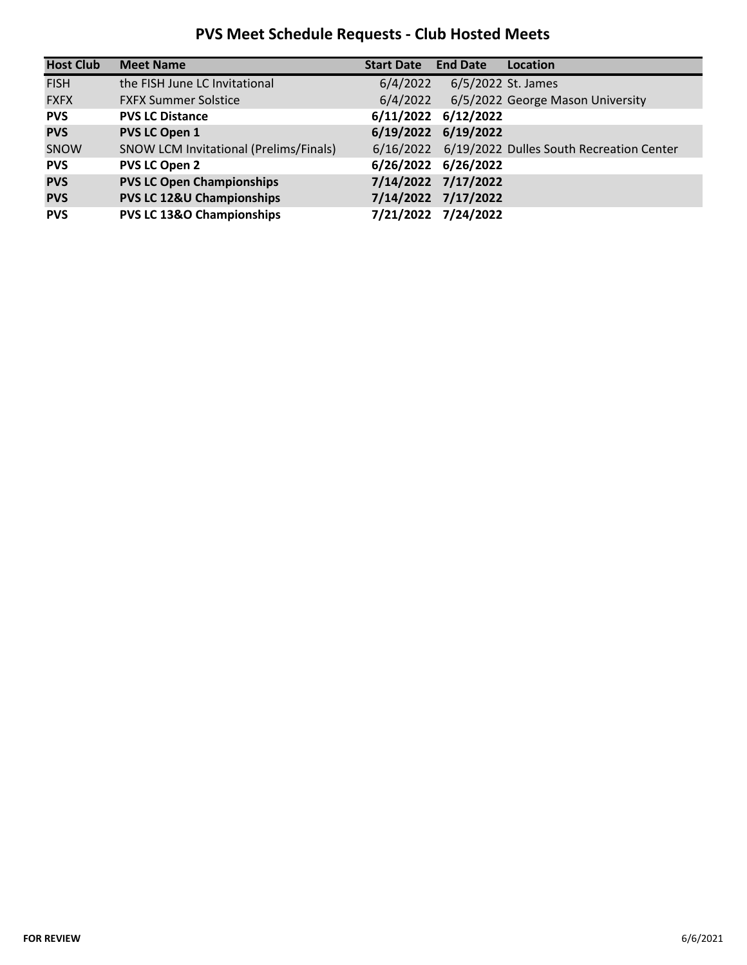## **PVS Meet Schedule Requests - Club Hosted Meets**

| <b>Host Club</b> | <b>Meet Name</b>                       | <b>Start Date</b> | <b>End Date</b>     | <b>Location</b>                                    |
|------------------|----------------------------------------|-------------------|---------------------|----------------------------------------------------|
| <b>FISH</b>      | the FISH June LC Invitational          | 6/4/2022          | 6/5/2022 St. James  |                                                    |
| <b>FXFX</b>      | <b>FXFX Summer Solstice</b>            | 6/4/2022          |                     | 6/5/2022 George Mason University                   |
| <b>PVS</b>       | <b>PVS LC Distance</b>                 |                   | 6/11/2022 6/12/2022 |                                                    |
| <b>PVS</b>       | <b>PVS LC Open 1</b>                   |                   | 6/19/2022 6/19/2022 |                                                    |
| SNOW             | SNOW LCM Invitational (Prelims/Finals) |                   |                     | 6/16/2022 6/19/2022 Dulles South Recreation Center |
| <b>PVS</b>       | <b>PVS LC Open 2</b>                   |                   | 6/26/2022 6/26/2022 |                                                    |
| <b>PVS</b>       | <b>PVS LC Open Championships</b>       |                   | 7/14/2022 7/17/2022 |                                                    |
| <b>PVS</b>       | <b>PVS LC 12&amp;U Championships</b>   |                   | 7/14/2022 7/17/2022 |                                                    |
| <b>PVS</b>       | PVS LC 13&O Championships              |                   | 7/21/2022 7/24/2022 |                                                    |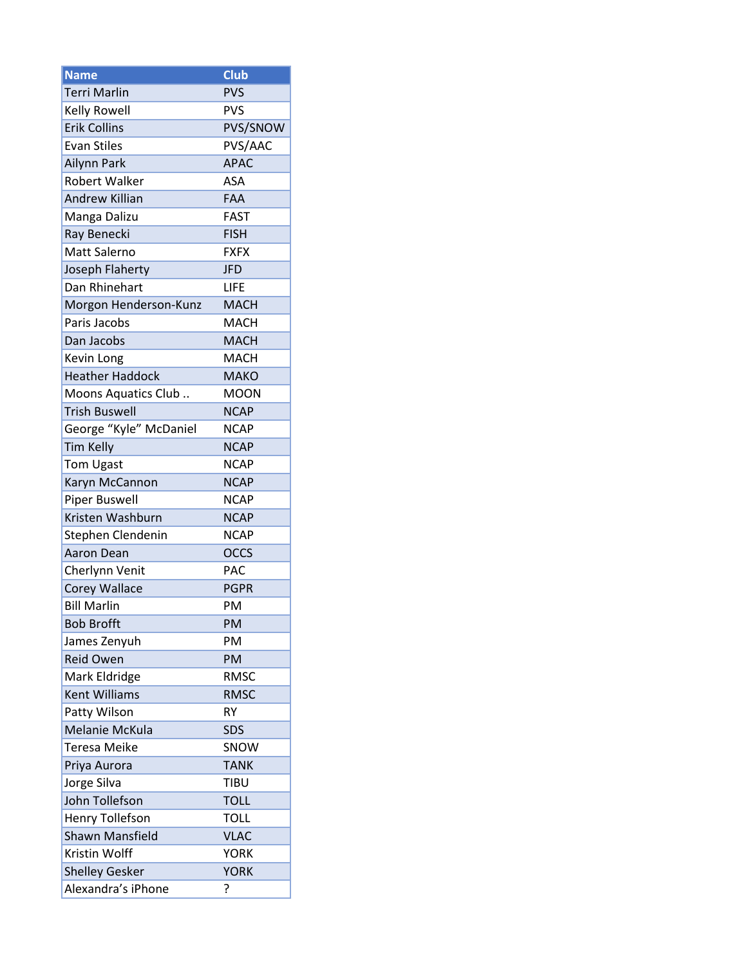| <b>Name</b>            | Club        |
|------------------------|-------------|
| <b>Terri Marlin</b>    | <b>PVS</b>  |
| <b>Kelly Rowell</b>    | <b>PVS</b>  |
| <b>Erik Collins</b>    | PVS/SNOW    |
| <b>Evan Stiles</b>     | PVS/AAC     |
| Ailynn Park            | <b>APAC</b> |
| <b>Robert Walker</b>   | <b>ASA</b>  |
| <b>Andrew Killian</b>  | <b>FAA</b>  |
| Manga Dalizu           | <b>FAST</b> |
| Ray Benecki            | <b>FISH</b> |
| Matt Salerno           | <b>FXFX</b> |
| Joseph Flaherty        | <b>JFD</b>  |
| Dan Rhinehart          | LIFE        |
| Morgon Henderson-Kunz  | <b>MACH</b> |
| Paris Jacobs           | MACH        |
| Dan Jacobs             | <b>MACH</b> |
| Kevin Long             | <b>MACH</b> |
| <b>Heather Haddock</b> | <b>MAKO</b> |
| Moons Aquatics Club    | MOON        |
| <b>Trish Buswell</b>   | <b>NCAP</b> |
| George "Kyle" McDaniel | <b>NCAP</b> |
| <b>Tim Kelly</b>       | <b>NCAP</b> |
| Tom Ugast              | <b>NCAP</b> |
| Karyn McCannon         | <b>NCAP</b> |
| <b>Piper Buswell</b>   | <b>NCAP</b> |
| Kristen Washburn       | <b>NCAP</b> |
| Stephen Clendenin      | <b>NCAP</b> |
| <b>Aaron Dean</b>      | <b>OCCS</b> |
| Cherlynn Venit         | <b>PAC</b>  |
| <b>Corey Wallace</b>   | <b>PGPR</b> |
| <b>Bill Marlin</b>     | PM          |
| <b>Bob Brofft</b>      | PM          |
| James Zenyuh           | PM          |
| <b>Reid Owen</b>       | PM          |
| Mark Eldridge          | <b>RMSC</b> |
| <b>Kent Williams</b>   | <b>RMSC</b> |
| Patty Wilson           | RY          |
| Melanie McKula         | <b>SDS</b>  |
| Teresa Meike           | SNOW        |
| Priya Aurora           | <b>TANK</b> |
| Jorge Silva            | TIBU        |
| John Tollefson         | <b>TOLL</b> |
| <b>Henry Tollefson</b> | <b>TOLL</b> |
| <b>Shawn Mansfield</b> | <b>VLAC</b> |
| Kristin Wolff          | <b>YORK</b> |
| <b>Shelley Gesker</b>  | <b>YORK</b> |
| Alexandra's iPhone     | 5.          |